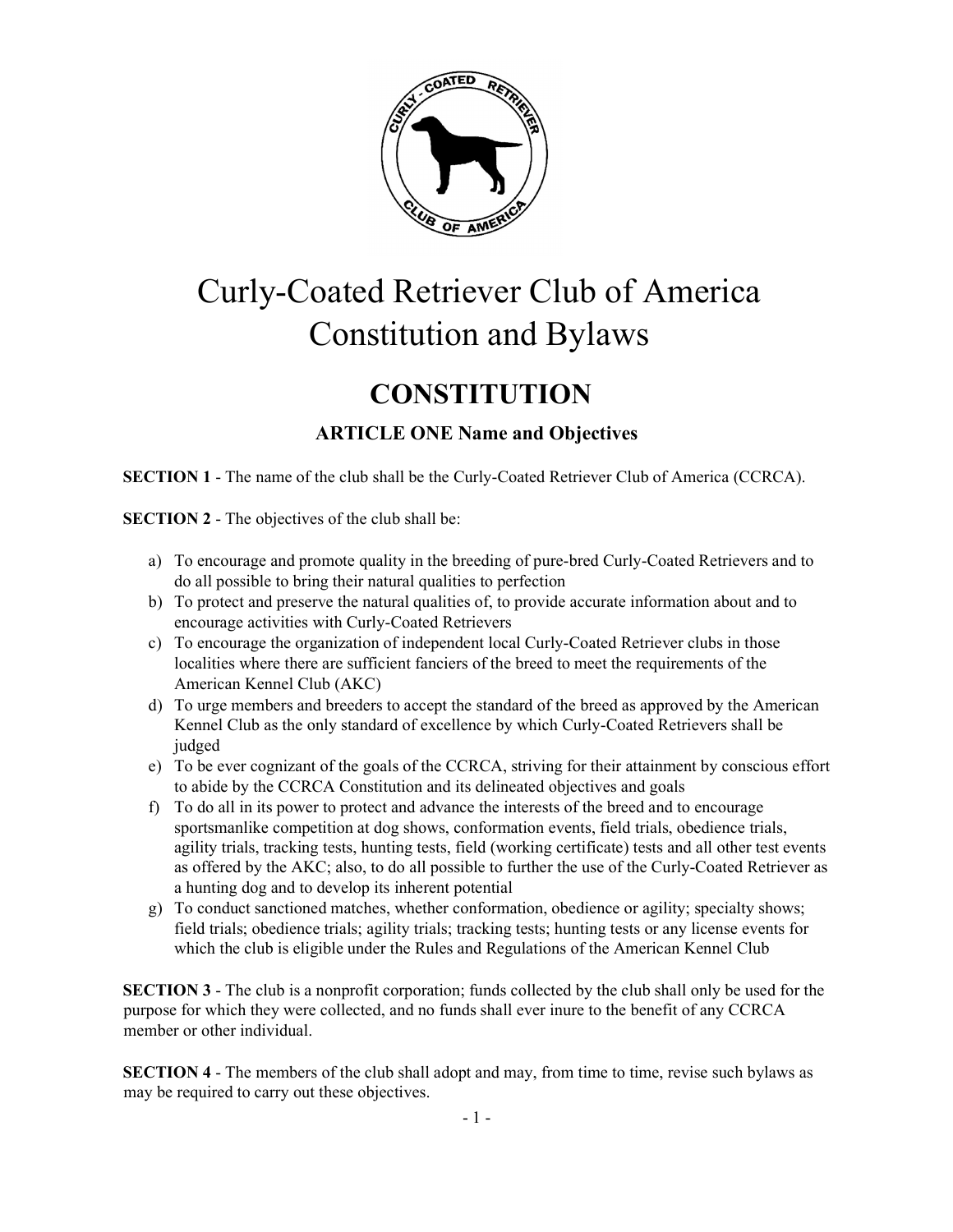

# Curly-Coated Retriever Club of America Constitution and Bylaws

## **CONSTITUTION**

## ARTICLE ONE Name and Objectives

SECTION 1 - The name of the club shall be the Curly-Coated Retriever Club of America (CCRCA).

SECTION 2 - The objectives of the club shall be:

- a) To encourage and promote quality in the breeding of pure-bred Curly-Coated Retrievers and to do all possible to bring their natural qualities to perfection
- b) To protect and preserve the natural qualities of, to provide accurate information about and to encourage activities with Curly-Coated Retrievers
- c) To encourage the organization of independent local Curly-Coated Retriever clubs in those localities where there are sufficient fanciers of the breed to meet the requirements of the American Kennel Club (AKC)
- d) To urge members and breeders to accept the standard of the breed as approved by the American Kennel Club as the only standard of excellence by which Curly-Coated Retrievers shall be judged
- e) To be ever cognizant of the goals of the CCRCA, striving for their attainment by conscious effort to abide by the CCRCA Constitution and its delineated objectives and goals
- f) To do all in its power to protect and advance the interests of the breed and to encourage sportsmanlike competition at dog shows, conformation events, field trials, obedience trials, agility trials, tracking tests, hunting tests, field (working certificate) tests and all other test events as offered by the AKC; also, to do all possible to further the use of the Curly-Coated Retriever as a hunting dog and to develop its inherent potential
- g) To conduct sanctioned matches, whether conformation, obedience or agility; specialty shows; field trials; obedience trials; agility trials; tracking tests; hunting tests or any license events for which the club is eligible under the Rules and Regulations of the American Kennel Club

SECTION 3 - The club is a nonprofit corporation; funds collected by the club shall only be used for the purpose for which they were collected, and no funds shall ever inure to the benefit of any CCRCA member or other individual.

SECTION 4 - The members of the club shall adopt and may, from time to time, revise such bylaws as may be required to carry out these objectives.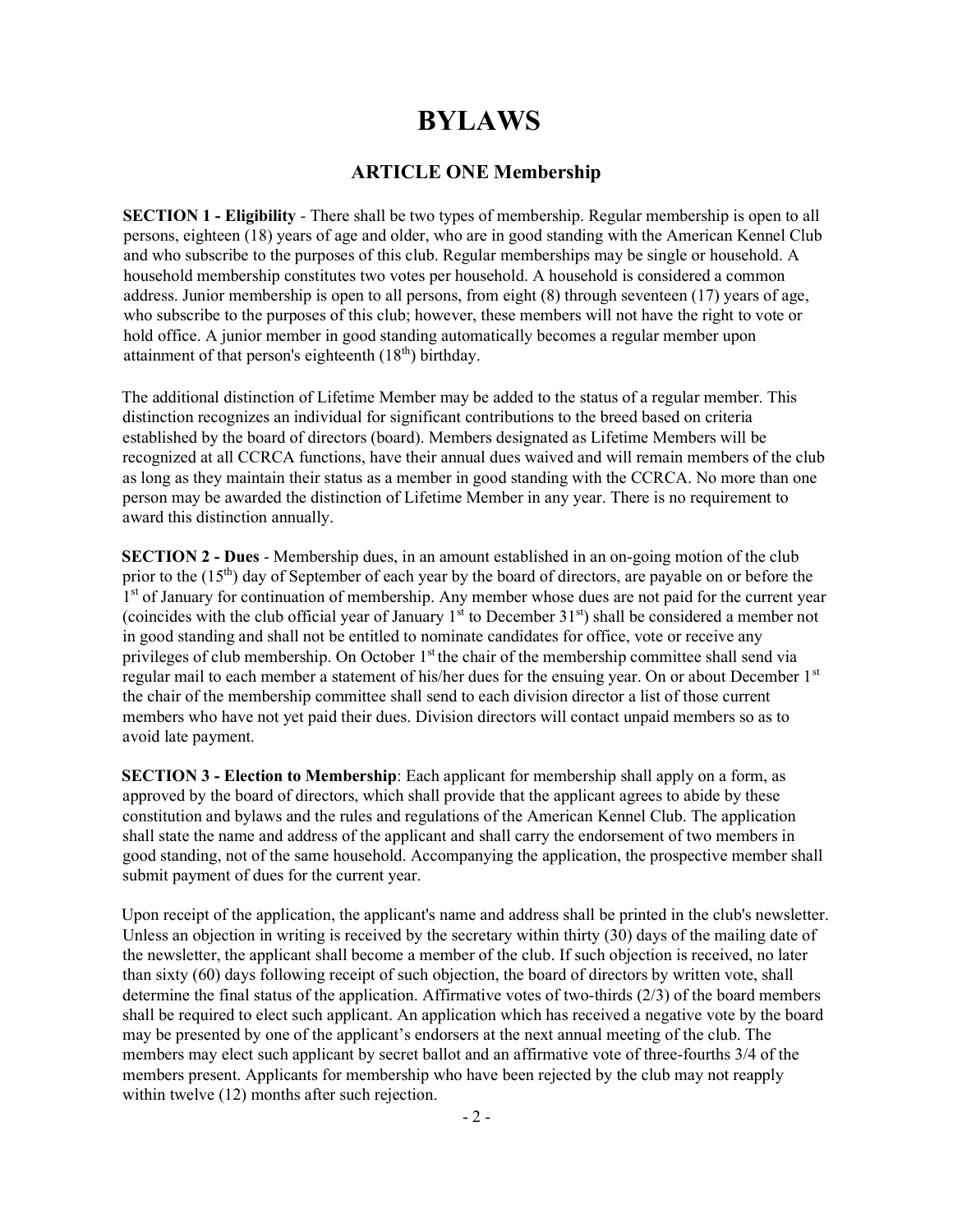## BYLAWS

## ARTICLE ONE Membership

SECTION 1 - Eligibility - There shall be two types of membership. Regular membership is open to all persons, eighteen (18) years of age and older, who are in good standing with the American Kennel Club and who subscribe to the purposes of this club. Regular memberships may be single or household. A household membership constitutes two votes per household. A household is considered a common address. Junior membership is open to all persons, from eight (8) through seventeen (17) years of age, who subscribe to the purposes of this club; however, these members will not have the right to vote or hold office. A junior member in good standing automatically becomes a regular member upon attainment of that person's eighteenth  $(18<sup>th</sup>)$  birthday.

The additional distinction of Lifetime Member may be added to the status of a regular member. This distinction recognizes an individual for significant contributions to the breed based on criteria established by the board of directors (board). Members designated as Lifetime Members will be recognized at all CCRCA functions, have their annual dues waived and will remain members of the club as long as they maintain their status as a member in good standing with the CCRCA. No more than one person may be awarded the distinction of Lifetime Member in any year. There is no requirement to award this distinction annually.

SECTION 2 - Dues - Membership dues, in an amount established in an on-going motion of the club prior to the  $(15<sup>th</sup>)$  day of September of each year by the board of directors, are payable on or before the 1<sup>st</sup> of January for continuation of membership. Any member whose dues are not paid for the current year (coincides with the club official year of January  $1<sup>st</sup>$  to December  $31<sup>st</sup>$ ) shall be considered a member not in good standing and shall not be entitled to nominate candidates for office, vote or receive any privileges of club membership. On October 1<sup>st</sup> the chair of the membership committee shall send via regular mail to each member a statement of his/her dues for the ensuing year. On or about December 1st the chair of the membership committee shall send to each division director a list of those current members who have not yet paid their dues. Division directors will contact unpaid members so as to avoid late payment.

SECTION 3 - Election to Membership: Each applicant for membership shall apply on a form, as approved by the board of directors, which shall provide that the applicant agrees to abide by these constitution and bylaws and the rules and regulations of the American Kennel Club. The application shall state the name and address of the applicant and shall carry the endorsement of two members in good standing, not of the same household. Accompanying the application, the prospective member shall submit payment of dues for the current year.

Upon receipt of the application, the applicant's name and address shall be printed in the club's newsletter. Unless an objection in writing is received by the secretary within thirty (30) days of the mailing date of the newsletter, the applicant shall become a member of the club. If such objection is received, no later than sixty (60) days following receipt of such objection, the board of directors by written vote, shall determine the final status of the application. Affirmative votes of two-thirds (2/3) of the board members shall be required to elect such applicant. An application which has received a negative vote by the board may be presented by one of the applicant's endorsers at the next annual meeting of the club. The members may elect such applicant by secret ballot and an affirmative vote of three-fourths 3/4 of the members present. Applicants for membership who have been rejected by the club may not reapply within twelve (12) months after such rejection.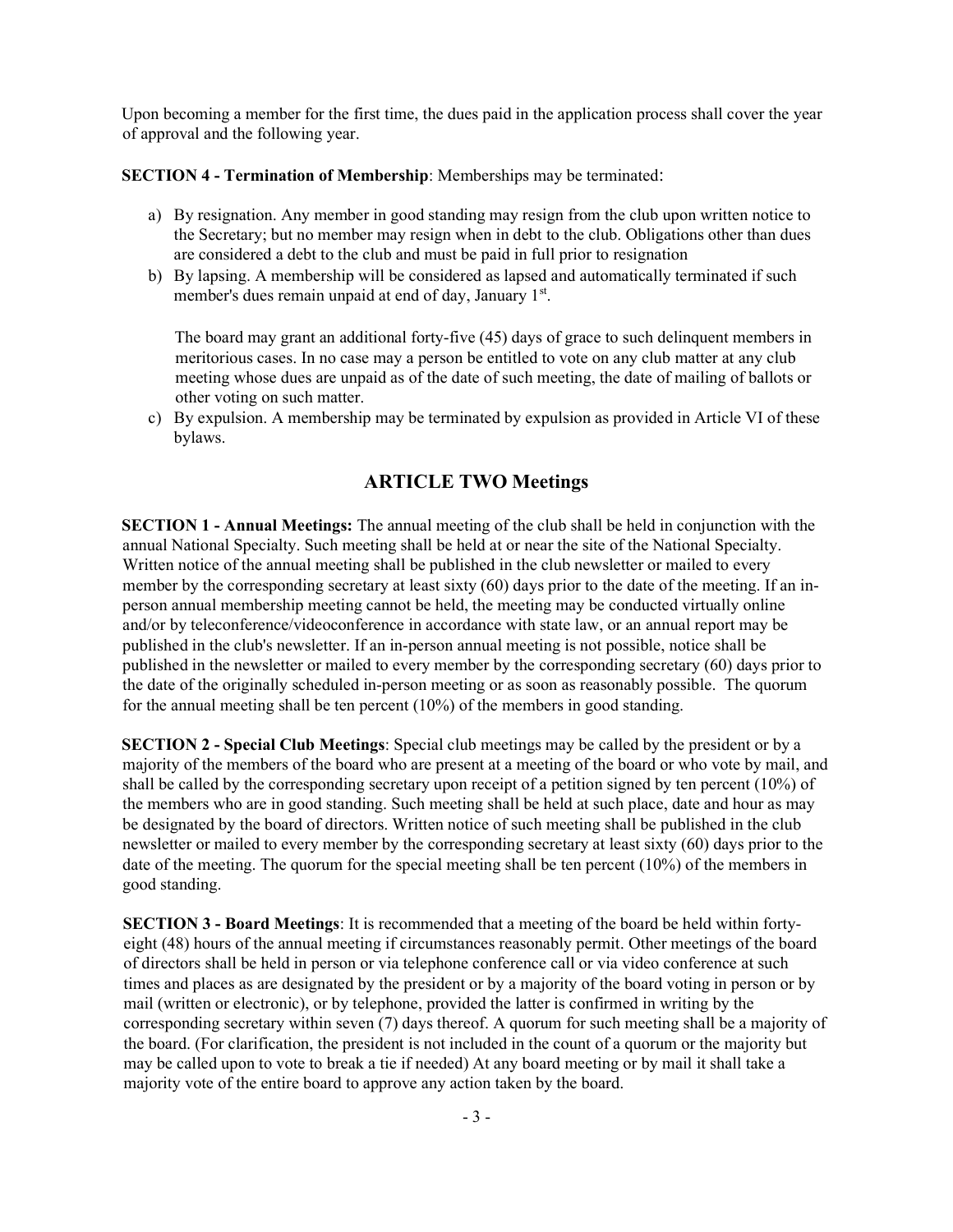Upon becoming a member for the first time, the dues paid in the application process shall cover the year of approval and the following year.

SECTION 4 - Termination of Membership: Memberships may be terminated:

- a) By resignation. Any member in good standing may resign from the club upon written notice to the Secretary; but no member may resign when in debt to the club. Obligations other than dues are considered a debt to the club and must be paid in full prior to resignation
- b) By lapsing. A membership will be considered as lapsed and automatically terminated if such member's dues remain unpaid at end of day, January 1st.

The board may grant an additional forty-five (45) days of grace to such delinquent members in meritorious cases. In no case may a person be entitled to vote on any club matter at any club meeting whose dues are unpaid as of the date of such meeting, the date of mailing of ballots or other voting on such matter.

c) By expulsion. A membership may be terminated by expulsion as provided in Article VI of these bylaws.

## ARTICLE TWO Meetings

SECTION 1 - Annual Meetings: The annual meeting of the club shall be held in conjunction with the annual National Specialty. Such meeting shall be held at or near the site of the National Specialty. Written notice of the annual meeting shall be published in the club newsletter or mailed to every member by the corresponding secretary at least sixty (60) days prior to the date of the meeting. If an inperson annual membership meeting cannot be held, the meeting may be conducted virtually online and/or by teleconference/videoconference in accordance with state law, or an annual report may be published in the club's newsletter. If an in-person annual meeting is not possible, notice shall be published in the newsletter or mailed to every member by the corresponding secretary (60) days prior to the date of the originally scheduled in-person meeting or as soon as reasonably possible. The quorum for the annual meeting shall be ten percent (10%) of the members in good standing.

SECTION 2 - Special Club Meetings: Special club meetings may be called by the president or by a majority of the members of the board who are present at a meeting of the board or who vote by mail, and shall be called by the corresponding secretary upon receipt of a petition signed by ten percent (10%) of the members who are in good standing. Such meeting shall be held at such place, date and hour as may be designated by the board of directors. Written notice of such meeting shall be published in the club newsletter or mailed to every member by the corresponding secretary at least sixty (60) days prior to the date of the meeting. The quorum for the special meeting shall be ten percent (10%) of the members in good standing.

SECTION 3 - Board Meetings: It is recommended that a meeting of the board be held within fortyeight (48) hours of the annual meeting if circumstances reasonably permit. Other meetings of the board of directors shall be held in person or via telephone conference call or via video conference at such times and places as are designated by the president or by a majority of the board voting in person or by mail (written or electronic), or by telephone, provided the latter is confirmed in writing by the corresponding secretary within seven (7) days thereof. A quorum for such meeting shall be a majority of the board. (For clarification, the president is not included in the count of a quorum or the majority but may be called upon to vote to break a tie if needed) At any board meeting or by mail it shall take a majority vote of the entire board to approve any action taken by the board.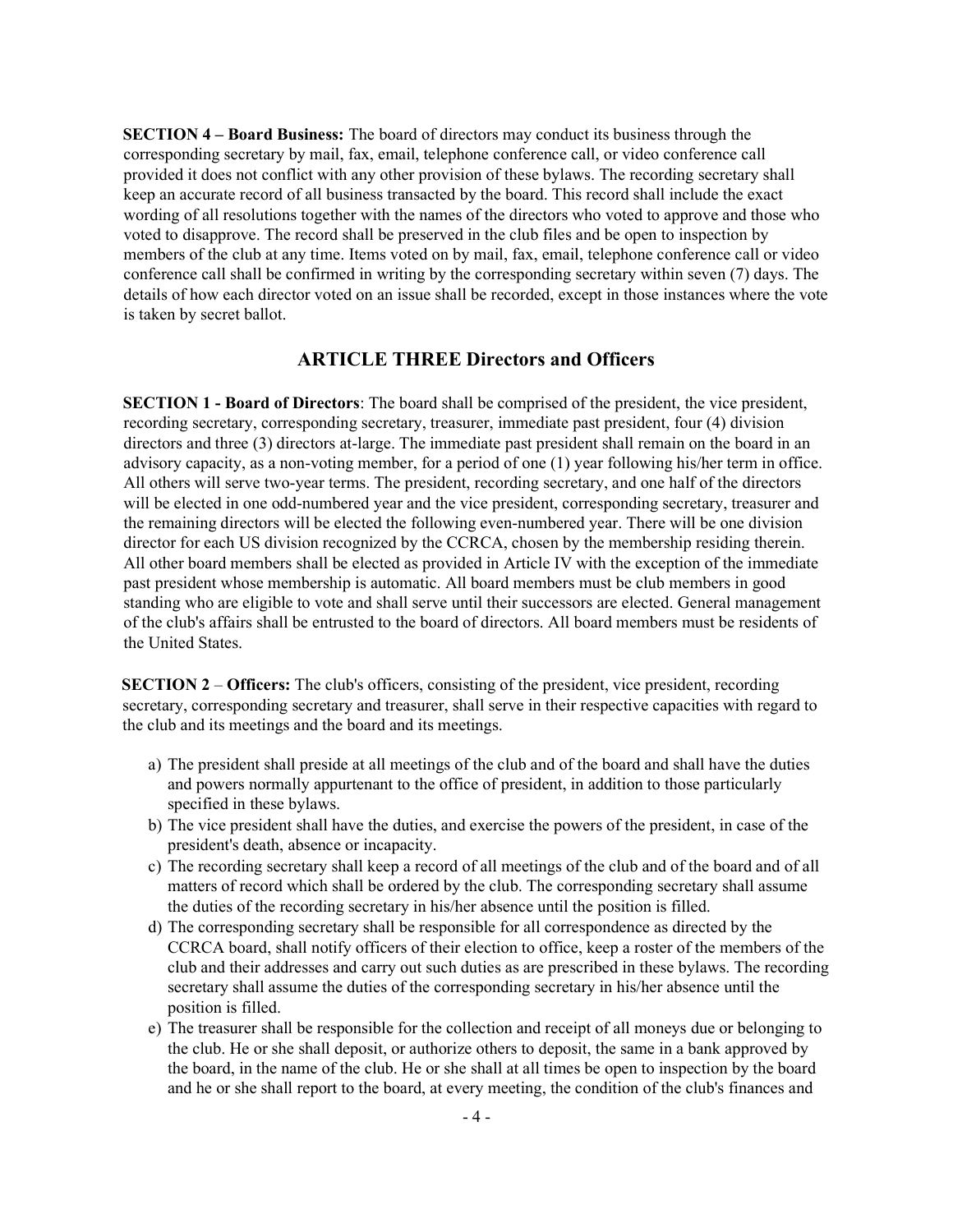SECTION 4 – Board Business: The board of directors may conduct its business through the corresponding secretary by mail, fax, email, telephone conference call, or video conference call provided it does not conflict with any other provision of these bylaws. The recording secretary shall keep an accurate record of all business transacted by the board. This record shall include the exact wording of all resolutions together with the names of the directors who voted to approve and those who voted to disapprove. The record shall be preserved in the club files and be open to inspection by members of the club at any time. Items voted on by mail, fax, email, telephone conference call or video conference call shall be confirmed in writing by the corresponding secretary within seven (7) days. The details of how each director voted on an issue shall be recorded, except in those instances where the vote is taken by secret ballot.

### ARTICLE THREE Directors and Officers

SECTION 1 - Board of Directors: The board shall be comprised of the president, the vice president, recording secretary, corresponding secretary, treasurer, immediate past president, four (4) division directors and three (3) directors at-large. The immediate past president shall remain on the board in an advisory capacity, as a non-voting member, for a period of one (1) year following his/her term in office. All others will serve two-year terms. The president, recording secretary, and one half of the directors will be elected in one odd-numbered year and the vice president, corresponding secretary, treasurer and the remaining directors will be elected the following even-numbered year. There will be one division director for each US division recognized by the CCRCA, chosen by the membership residing therein. All other board members shall be elected as provided in Article IV with the exception of the immediate past president whose membership is automatic. All board members must be club members in good standing who are eligible to vote and shall serve until their successors are elected. General management of the club's affairs shall be entrusted to the board of directors. All board members must be residents of the United States.

SECTION 2 – Officers: The club's officers, consisting of the president, vice president, recording secretary, corresponding secretary and treasurer, shall serve in their respective capacities with regard to the club and its meetings and the board and its meetings.

- a) The president shall preside at all meetings of the club and of the board and shall have the duties and powers normally appurtenant to the office of president, in addition to those particularly specified in these bylaws.
- b) The vice president shall have the duties, and exercise the powers of the president, in case of the president's death, absence or incapacity.
- c) The recording secretary shall keep a record of all meetings of the club and of the board and of all matters of record which shall be ordered by the club. The corresponding secretary shall assume the duties of the recording secretary in his/her absence until the position is filled.
- d) The corresponding secretary shall be responsible for all correspondence as directed by the CCRCA board, shall notify officers of their election to office, keep a roster of the members of the club and their addresses and carry out such duties as are prescribed in these bylaws. The recording secretary shall assume the duties of the corresponding secretary in his/her absence until the position is filled.
- e) The treasurer shall be responsible for the collection and receipt of all moneys due or belonging to the club. He or she shall deposit, or authorize others to deposit, the same in a bank approved by the board, in the name of the club. He or she shall at all times be open to inspection by the board and he or she shall report to the board, at every meeting, the condition of the club's finances and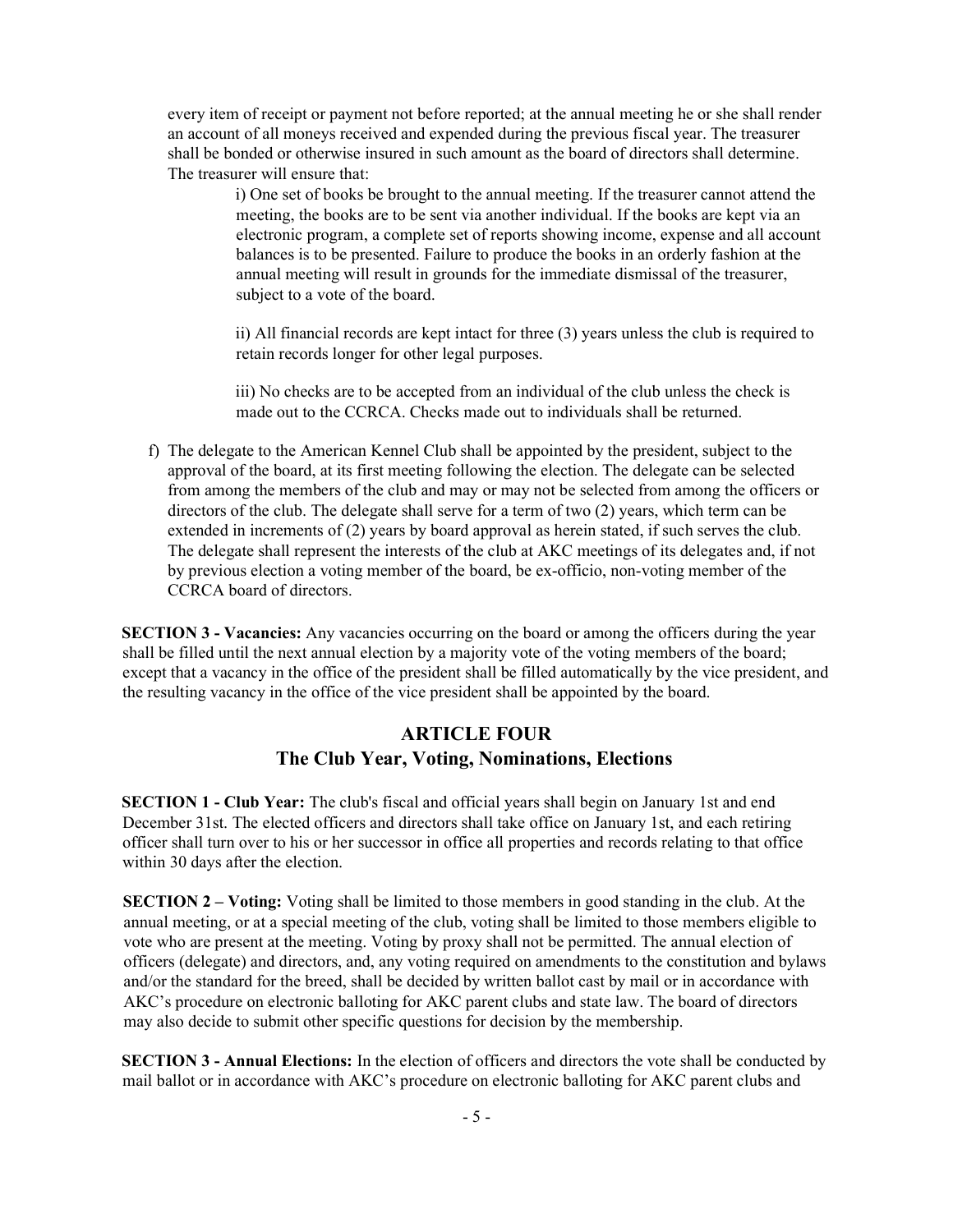every item of receipt or payment not before reported; at the annual meeting he or she shall render an account of all moneys received and expended during the previous fiscal year. The treasurer shall be bonded or otherwise insured in such amount as the board of directors shall determine. The treasurer will ensure that:

> i) One set of books be brought to the annual meeting. If the treasurer cannot attend the meeting, the books are to be sent via another individual. If the books are kept via an electronic program, a complete set of reports showing income, expense and all account balances is to be presented. Failure to produce the books in an orderly fashion at the annual meeting will result in grounds for the immediate dismissal of the treasurer, subject to a vote of the board.

ii) All financial records are kept intact for three (3) years unless the club is required to retain records longer for other legal purposes.

iii) No checks are to be accepted from an individual of the club unless the check is made out to the CCRCA. Checks made out to individuals shall be returned.

f) The delegate to the American Kennel Club shall be appointed by the president, subject to the approval of the board, at its first meeting following the election. The delegate can be selected from among the members of the club and may or may not be selected from among the officers or directors of the club. The delegate shall serve for a term of two (2) years, which term can be extended in increments of (2) years by board approval as herein stated, if such serves the club. The delegate shall represent the interests of the club at AKC meetings of its delegates and, if not by previous election a voting member of the board, be ex-officio, non-voting member of the CCRCA board of directors.

SECTION 3 - Vacancies: Any vacancies occurring on the board or among the officers during the year shall be filled until the next annual election by a majority vote of the voting members of the board; except that a vacancy in the office of the president shall be filled automatically by the vice president, and the resulting vacancy in the office of the vice president shall be appointed by the board.

## ARTICLE FOUR The Club Year, Voting, Nominations, Elections

SECTION 1 - Club Year: The club's fiscal and official years shall begin on January 1st and end December 31st. The elected officers and directors shall take office on January 1st, and each retiring officer shall turn over to his or her successor in office all properties and records relating to that office within 30 days after the election.

SECTION 2 – Voting: Voting shall be limited to those members in good standing in the club. At the annual meeting, or at a special meeting of the club, voting shall be limited to those members eligible to vote who are present at the meeting. Voting by proxy shall not be permitted. The annual election of officers (delegate) and directors, and, any voting required on amendments to the constitution and bylaws and/or the standard for the breed, shall be decided by written ballot cast by mail or in accordance with AKC's procedure on electronic balloting for AKC parent clubs and state law. The board of directors may also decide to submit other specific questions for decision by the membership.

SECTION 3 - Annual Elections: In the election of officers and directors the vote shall be conducted by mail ballot or in accordance with AKC's procedure on electronic balloting for AKC parent clubs and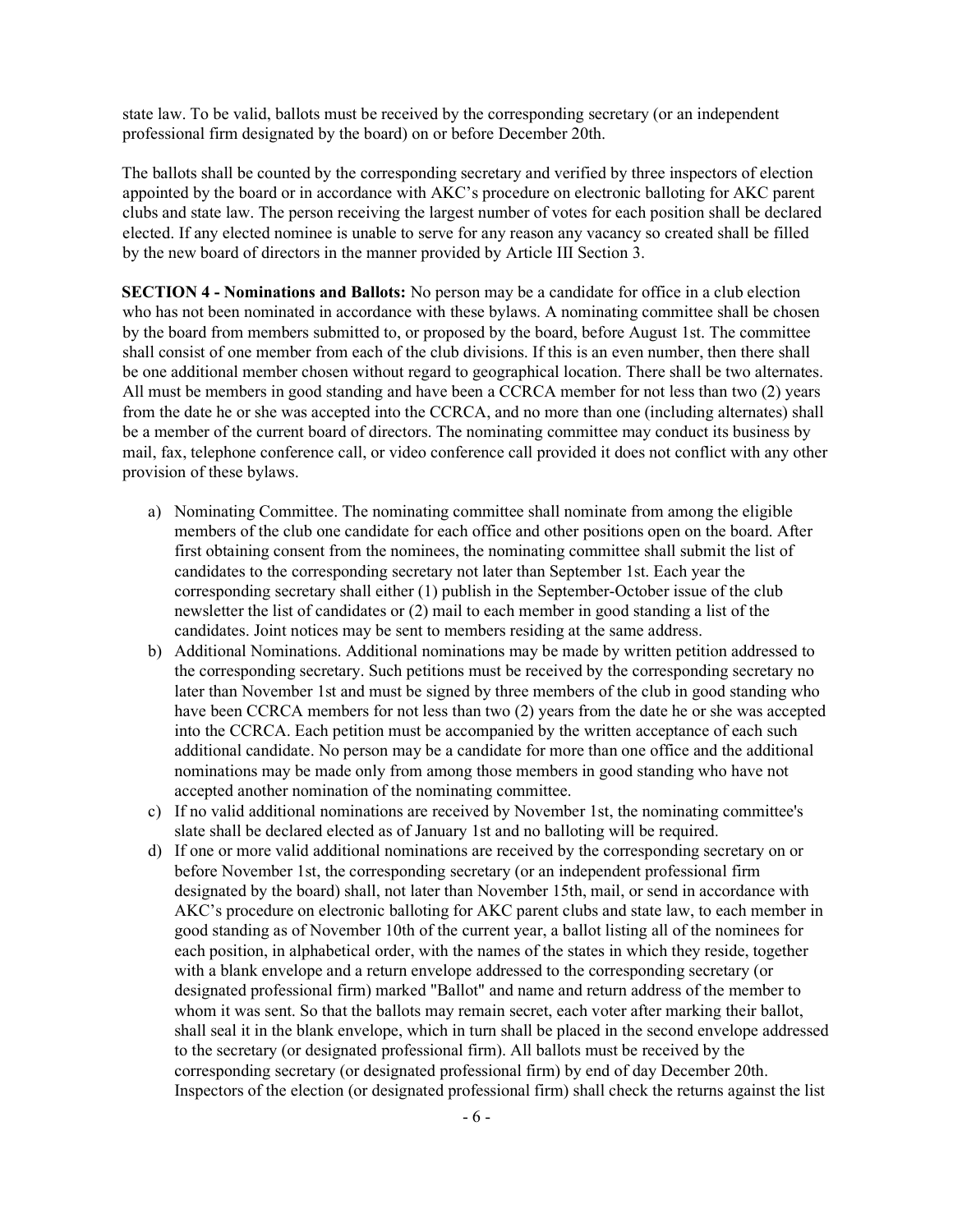state law. To be valid, ballots must be received by the corresponding secretary (or an independent professional firm designated by the board) on or before December 20th.

The ballots shall be counted by the corresponding secretary and verified by three inspectors of election appointed by the board or in accordance with AKC's procedure on electronic balloting for AKC parent clubs and state law. The person receiving the largest number of votes for each position shall be declared elected. If any elected nominee is unable to serve for any reason any vacancy so created shall be filled by the new board of directors in the manner provided by Article III Section 3.

SECTION 4 - Nominations and Ballots: No person may be a candidate for office in a club election who has not been nominated in accordance with these bylaws. A nominating committee shall be chosen by the board from members submitted to, or proposed by the board, before August 1st. The committee shall consist of one member from each of the club divisions. If this is an even number, then there shall be one additional member chosen without regard to geographical location. There shall be two alternates. All must be members in good standing and have been a CCRCA member for not less than two (2) years from the date he or she was accepted into the CCRCA, and no more than one (including alternates) shall be a member of the current board of directors. The nominating committee may conduct its business by mail, fax, telephone conference call, or video conference call provided it does not conflict with any other provision of these bylaws.

- a) Nominating Committee. The nominating committee shall nominate from among the eligible members of the club one candidate for each office and other positions open on the board. After first obtaining consent from the nominees, the nominating committee shall submit the list of candidates to the corresponding secretary not later than September 1st. Each year the corresponding secretary shall either (1) publish in the September-October issue of the club newsletter the list of candidates or (2) mail to each member in good standing a list of the candidates. Joint notices may be sent to members residing at the same address.
- b) Additional Nominations. Additional nominations may be made by written petition addressed to the corresponding secretary. Such petitions must be received by the corresponding secretary no later than November 1st and must be signed by three members of the club in good standing who have been CCRCA members for not less than two (2) years from the date he or she was accepted into the CCRCA. Each petition must be accompanied by the written acceptance of each such additional candidate. No person may be a candidate for more than one office and the additional nominations may be made only from among those members in good standing who have not accepted another nomination of the nominating committee.
- c) If no valid additional nominations are received by November 1st, the nominating committee's slate shall be declared elected as of January 1st and no balloting will be required.
- d) If one or more valid additional nominations are received by the corresponding secretary on or before November 1st, the corresponding secretary (or an independent professional firm designated by the board) shall, not later than November 15th, mail, or send in accordance with AKC's procedure on electronic balloting for AKC parent clubs and state law, to each member in good standing as of November 10th of the current year, a ballot listing all of the nominees for each position, in alphabetical order, with the names of the states in which they reside, together with a blank envelope and a return envelope addressed to the corresponding secretary (or designated professional firm) marked "Ballot" and name and return address of the member to whom it was sent. So that the ballots may remain secret, each voter after marking their ballot, shall seal it in the blank envelope, which in turn shall be placed in the second envelope addressed to the secretary (or designated professional firm). All ballots must be received by the corresponding secretary (or designated professional firm) by end of day December 20th. Inspectors of the election (or designated professional firm) shall check the returns against the list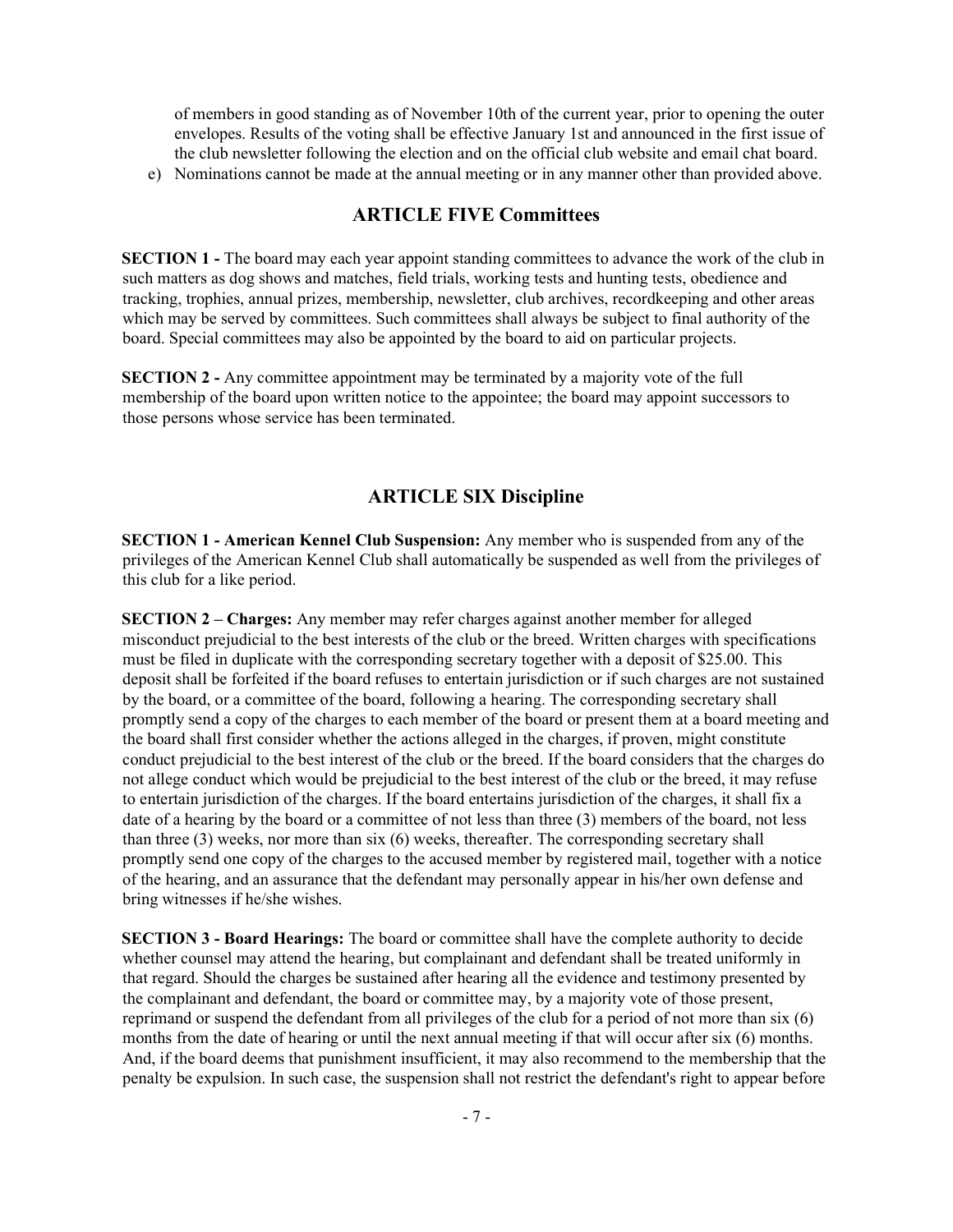of members in good standing as of November 10th of the current year, prior to opening the outer envelopes. Results of the voting shall be effective January 1st and announced in the first issue of the club newsletter following the election and on the official club website and email chat board.

e) Nominations cannot be made at the annual meeting or in any manner other than provided above.

### ARTICLE FIVE Committees

SECTION 1 - The board may each year appoint standing committees to advance the work of the club in such matters as dog shows and matches, field trials, working tests and hunting tests, obedience and tracking, trophies, annual prizes, membership, newsletter, club archives, recordkeeping and other areas which may be served by committees. Such committees shall always be subject to final authority of the board. Special committees may also be appointed by the board to aid on particular projects.

SECTION 2 - Any committee appointment may be terminated by a majority vote of the full membership of the board upon written notice to the appointee; the board may appoint successors to those persons whose service has been terminated.

#### ARTICLE SIX Discipline

SECTION 1 - American Kennel Club Suspension: Any member who is suspended from any of the privileges of the American Kennel Club shall automatically be suspended as well from the privileges of this club for a like period.

SECTION 2 – Charges: Any member may refer charges against another member for alleged misconduct prejudicial to the best interests of the club or the breed. Written charges with specifications must be filed in duplicate with the corresponding secretary together with a deposit of \$25.00. This deposit shall be forfeited if the board refuses to entertain jurisdiction or if such charges are not sustained by the board, or a committee of the board, following a hearing. The corresponding secretary shall promptly send a copy of the charges to each member of the board or present them at a board meeting and the board shall first consider whether the actions alleged in the charges, if proven, might constitute conduct prejudicial to the best interest of the club or the breed. If the board considers that the charges do not allege conduct which would be prejudicial to the best interest of the club or the breed, it may refuse to entertain jurisdiction of the charges. If the board entertains jurisdiction of the charges, it shall fix a date of a hearing by the board or a committee of not less than three (3) members of the board, not less than three (3) weeks, nor more than six (6) weeks, thereafter. The corresponding secretary shall promptly send one copy of the charges to the accused member by registered mail, together with a notice of the hearing, and an assurance that the defendant may personally appear in his/her own defense and bring witnesses if he/she wishes.

SECTION 3 - Board Hearings: The board or committee shall have the complete authority to decide whether counsel may attend the hearing, but complainant and defendant shall be treated uniformly in that regard. Should the charges be sustained after hearing all the evidence and testimony presented by the complainant and defendant, the board or committee may, by a majority vote of those present, reprimand or suspend the defendant from all privileges of the club for a period of not more than six (6) months from the date of hearing or until the next annual meeting if that will occur after six (6) months. And, if the board deems that punishment insufficient, it may also recommend to the membership that the penalty be expulsion. In such case, the suspension shall not restrict the defendant's right to appear before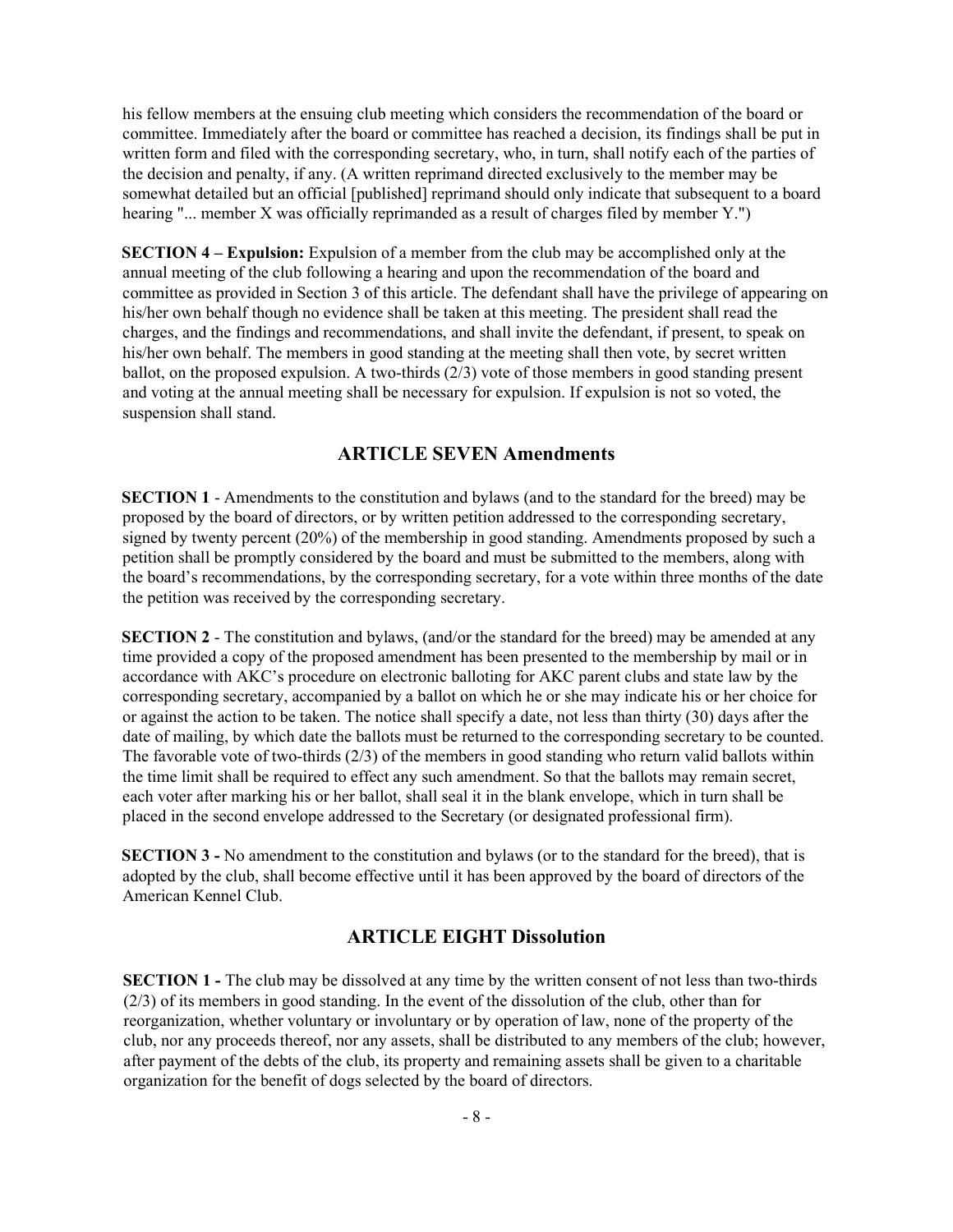his fellow members at the ensuing club meeting which considers the recommendation of the board or committee. Immediately after the board or committee has reached a decision, its findings shall be put in written form and filed with the corresponding secretary, who, in turn, shall notify each of the parties of the decision and penalty, if any. (A written reprimand directed exclusively to the member may be somewhat detailed but an official [published] reprimand should only indicate that subsequent to a board hearing "... member X was officially reprimanded as a result of charges filed by member Y.")

SECTION 4 – Expulsion: Expulsion of a member from the club may be accomplished only at the annual meeting of the club following a hearing and upon the recommendation of the board and committee as provided in Section 3 of this article. The defendant shall have the privilege of appearing on his/her own behalf though no evidence shall be taken at this meeting. The president shall read the charges, and the findings and recommendations, and shall invite the defendant, if present, to speak on his/her own behalf. The members in good standing at the meeting shall then vote, by secret written ballot, on the proposed expulsion. A two-thirds (2/3) vote of those members in good standing present and voting at the annual meeting shall be necessary for expulsion. If expulsion is not so voted, the suspension shall stand.

#### ARTICLE SEVEN Amendments

SECTION 1 - Amendments to the constitution and bylaws (and to the standard for the breed) may be proposed by the board of directors, or by written petition addressed to the corresponding secretary, signed by twenty percent (20%) of the membership in good standing. Amendments proposed by such a petition shall be promptly considered by the board and must be submitted to the members, along with the board's recommendations, by the corresponding secretary, for a vote within three months of the date the petition was received by the corresponding secretary.

SECTION 2 - The constitution and bylaws, (and/or the standard for the breed) may be amended at any time provided a copy of the proposed amendment has been presented to the membership by mail or in accordance with AKC's procedure on electronic balloting for AKC parent clubs and state law by the corresponding secretary, accompanied by a ballot on which he or she may indicate his or her choice for or against the action to be taken. The notice shall specify a date, not less than thirty (30) days after the date of mailing, by which date the ballots must be returned to the corresponding secretary to be counted. The favorable vote of two-thirds (2/3) of the members in good standing who return valid ballots within the time limit shall be required to effect any such amendment. So that the ballots may remain secret, each voter after marking his or her ballot, shall seal it in the blank envelope, which in turn shall be placed in the second envelope addressed to the Secretary (or designated professional firm).

SECTION 3 - No amendment to the constitution and bylaws (or to the standard for the breed), that is adopted by the club, shall become effective until it has been approved by the board of directors of the American Kennel Club.

### ARTICLE EIGHT Dissolution

SECTION 1 - The club may be dissolved at any time by the written consent of not less than two-thirds (2/3) of its members in good standing. In the event of the dissolution of the club, other than for reorganization, whether voluntary or involuntary or by operation of law, none of the property of the club, nor any proceeds thereof, nor any assets, shall be distributed to any members of the club; however, after payment of the debts of the club, its property and remaining assets shall be given to a charitable organization for the benefit of dogs selected by the board of directors.